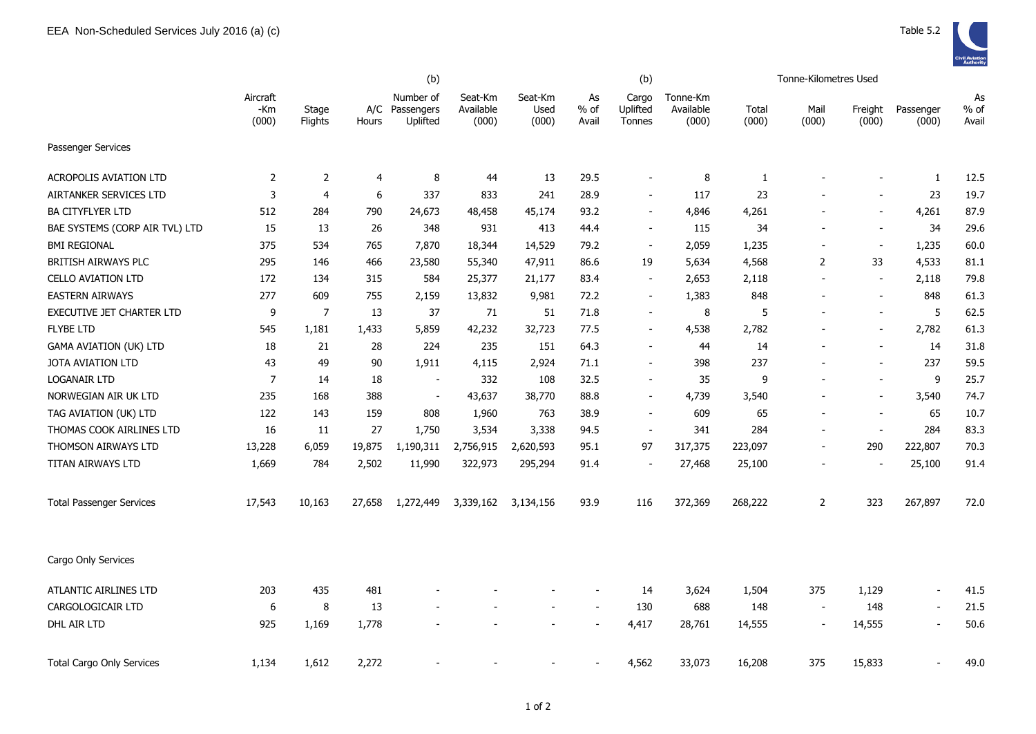|                                  |                          |                  | (b)    |                                         |                               |                          |                       | (b)                         |                                |                | Tonne-Kilometres Used    |                          |                          |                     |
|----------------------------------|--------------------------|------------------|--------|-----------------------------------------|-------------------------------|--------------------------|-----------------------|-----------------------------|--------------------------------|----------------|--------------------------|--------------------------|--------------------------|---------------------|
|                                  | Aircraft<br>-Km<br>(000) | Stage<br>Flights | Hours  | Number of<br>A/C Passengers<br>Uplifted | Seat-Km<br>Available<br>(000) | Seat-Km<br>Used<br>(000) | As<br>$%$ of<br>Avail | Cargo<br>Uplifted<br>Tonnes | Tonne-Km<br>Available<br>(000) | Total<br>(000) | Mail<br>(000)            | Freight<br>(000)         | Passenger<br>(000)       | As<br>% of<br>Avail |
| Passenger Services               |                          |                  |        |                                         |                               |                          |                       |                             |                                |                |                          |                          |                          |                     |
| <b>ACROPOLIS AVIATION LTD</b>    | $\overline{2}$           | $\overline{2}$   | 4      | 8                                       | 44                            | 13                       | 29.5                  | $\overline{\phantom{a}}$    | 8                              | 1              |                          | $\overline{\phantom{a}}$ | 1                        | 12.5                |
| AIRTANKER SERVICES LTD           | 3                        | $\overline{4}$   | 6      | 337                                     | 833                           | 241                      | 28.9                  | $\blacksquare$              | 117                            | 23             |                          | $\blacksquare$           | 23                       | 19.7                |
| <b>BA CITYFLYER LTD</b>          | 512                      | 284              | 790    | 24,673                                  | 48,458                        | 45,174                   | 93.2                  | $\overline{\phantom{a}}$    | 4,846                          | 4,261          |                          | $\overline{\phantom{a}}$ | 4,261                    | 87.9                |
| BAE SYSTEMS (CORP AIR TVL) LTD   | 15                       | 13               | 26     | 348                                     | 931                           | 413                      | 44.4                  | $\overline{\phantom{a}}$    | 115                            | 34             |                          | $\overline{\phantom{a}}$ | 34                       | 29.6                |
| <b>BMI REGIONAL</b>              | 375                      | 534              | 765    | 7,870                                   | 18,344                        | 14,529                   | 79.2                  | $\overline{\phantom{a}}$    | 2,059                          | 1,235          |                          | $\blacksquare$           | 1,235                    | 60.0                |
| <b>BRITISH AIRWAYS PLC</b>       | 295                      | 146              | 466    | 23,580                                  | 55,340                        | 47,911                   | 86.6                  | 19                          | 5,634                          | 4,568          | 2                        | 33                       | 4,533                    | 81.1                |
| CELLO AVIATION LTD               | 172                      | 134              | 315    | 584                                     | 25,377                        | 21,177                   | 83.4                  | $\overline{\phantom{a}}$    | 2,653                          | 2,118          |                          | $\overline{\phantom{a}}$ | 2,118                    | 79.8                |
| <b>EASTERN AIRWAYS</b>           | 277                      | 609              | 755    | 2,159                                   | 13,832                        | 9,981                    | 72.2                  | $\blacksquare$              | 1,383                          | 848            |                          | $\overline{\phantom{a}}$ | 848                      | 61.3                |
| <b>EXECUTIVE JET CHARTER LTD</b> | 9                        | $\overline{7}$   | 13     | 37                                      | 71                            | 51                       | 71.8                  | $\blacksquare$              | 8                              | 5              |                          | $\blacksquare$           | 5                        | 62.5                |
| <b>FLYBE LTD</b>                 | 545                      | 1,181            | 1,433  | 5,859                                   | 42,232                        | 32,723                   | 77.5                  | $\overline{\phantom{a}}$    | 4,538                          | 2,782          |                          | $\overline{\phantom{a}}$ | 2,782                    | 61.3                |
| <b>GAMA AVIATION (UK) LTD</b>    | 18                       | 21               | 28     | 224                                     | 235                           | 151                      | 64.3                  | $\overline{\phantom{a}}$    | 44                             | 14             |                          | $\overline{\phantom{a}}$ | 14                       | 31.8                |
| <b>JOTA AVIATION LTD</b>         | 43                       | 49               | 90     | 1,911                                   | 4,115                         | 2,924                    | 71.1                  | $\overline{\phantom{a}}$    | 398                            | 237            |                          | $\overline{\phantom{a}}$ | 237                      | 59.5                |
| LOGANAIR LTD                     | $\overline{7}$           | 14               | 18     | $\blacksquare$                          | 332                           | 108                      | 32.5                  | $\overline{\phantom{a}}$    | 35                             | 9              |                          | $\overline{\phantom{a}}$ | 9                        | 25.7                |
| NORWEGIAN AIR UK LTD             | 235                      | 168              | 388    | $\blacksquare$                          | 43,637                        | 38,770                   | 88.8                  | $\blacksquare$              | 4,739                          | 3,540          |                          | $\blacksquare$           | 3,540                    | 74.7                |
| TAG AVIATION (UK) LTD            | 122                      | 143              | 159    | 808                                     | 1,960                         | 763                      | 38.9                  | $\overline{a}$              | 609                            | 65             |                          | $\overline{\phantom{a}}$ | 65                       | 10.7                |
| THOMAS COOK AIRLINES LTD         | 16                       | 11               | 27     | 1,750                                   | 3,534                         | 3,338                    | 94.5                  | $\blacksquare$              | 341                            | 284            |                          | $\blacksquare$           | 284                      | 83.3                |
| THOMSON AIRWAYS LTD              | 13,228                   | 6,059            | 19,875 | 1,190,311                               | 2,756,915                     | 2,620,593                | 95.1                  | 97                          | 317,375                        | 223,097        |                          | 290                      | 222,807                  | 70.3                |
| TITAN AIRWAYS LTD                | 1,669                    | 784              | 2,502  | 11,990                                  | 322,973                       | 295,294                  | 91.4                  |                             | 27,468                         | 25,100         |                          | $\overline{\phantom{a}}$ | 25,100                   | 91.4                |
| <b>Total Passenger Services</b>  | 17,543                   | 10,163           | 27,658 | 1,272,449                               | 3,339,162                     | 3,134,156                | 93.9                  | 116                         | 372,369                        | 268,222        | $\overline{2}$           | 323                      | 267,897                  | 72.0                |
| Cargo Only Services              |                          |                  |        |                                         |                               |                          |                       |                             |                                |                |                          |                          |                          |                     |
| ATLANTIC AIRLINES LTD            | 203                      | 435              | 481    |                                         |                               |                          |                       | 14                          | 3,624                          | 1,504          | 375                      | 1,129                    | $\overline{\phantom{a}}$ | 41.5                |
| CARGOLOGICAIR LTD                | 6                        | 8                | 13     |                                         |                               |                          |                       | 130                         | 688                            | 148            | $\overline{\phantom{a}}$ | 148                      | $\overline{\phantom{a}}$ | 21.5                |
| DHL AIR LTD                      | 925                      | 1,169            | 1,778  |                                         |                               |                          |                       | 4,417                       | 28,761                         | 14,555         |                          | 14,555                   | $\overline{a}$           | 50.6                |
| <b>Total Cargo Only Services</b> | 1,134                    | 1,612            | 2,272  |                                         |                               |                          |                       | 4,562                       | 33,073                         | 16,208         | 375                      | 15,833                   |                          | 49.0                |